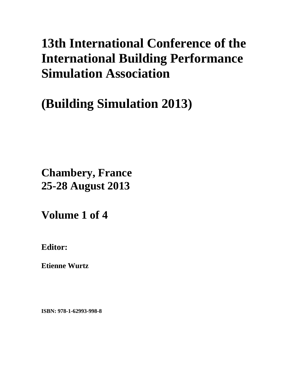## **13th International Conference of the International Building Performance Simulation Association**

# **(Building Simulation 2013)**

**Chambery, France 25-28 August 2013**

**Volume 1 of 4** 

**Editor:** 

**Etienne Wurtz** 

**ISBN: 978-1-62993-998-8**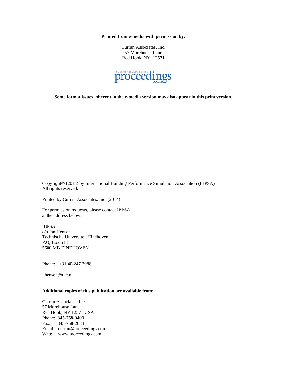**Printed from e-media with permission by:** 

Curran Associates, Inc. 57 Morehouse Lane Red Hook, NY 12571



**Some format issues inherent in the e-media version may also appear in this print version.** 

Copyright© (2013) by International Building Performance Simulation Association (IBPSA) All rights reserved.

Printed by Curran Associates, Inc. (2014)

For permission requests, please contact IBPSA at the address below.

IBPSA c/o Jan Hensen Technische Universiteit Eindhoven P.O, Box 513 5600 MB EINDHOVEN

Phone: +31 40-247 2988

j.hensen@tue.nl

## **Additional copies of this publication are available from:**

Curran Associates, Inc. 57 Morehouse Lane Red Hook, NY 12571 USA Phone: 845-758-0400 Fax: 845-758-2634 Email: curran@proceedings.com Web: www.proceedings.com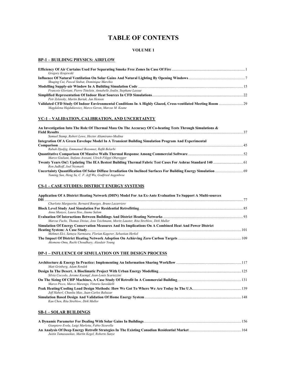## **TABLE OF CONTENTS**

## **VOLUME 1**

## **BP-1 – BUILDING PHYSICS: AIRFLOW**

| Gregory Krajewski                                                      |  |
|------------------------------------------------------------------------|--|
|                                                                        |  |
| Shuging Cui, Pascal Stabat, Dominique Marchio                          |  |
|                                                                        |  |
| Francois Gloriant, Pierre Tittelein, Annabelle Joulin, Stephane Lassue |  |
|                                                                        |  |
| Petr Zelensky, Martin Bartak, Jan Hensen                               |  |
|                                                                        |  |
| Magdalena Hajdukiewicz, Marco Geron, Marcus M. Keane                   |  |

#### **VC-1 – VALIDATION, CALIBRATION, AND UNCERTAINTY**

| An Investigation Into The Role Of Thermal Mass On The Accuracy Of Co-heating Tests Through Simulations & |  |
|----------------------------------------------------------------------------------------------------------|--|
|                                                                                                          |  |
| Samuel Stamp, Robert Lowe, Hector Altamirano-Medina                                                      |  |
| Integration Of A Green Envelope Model In A Transient Building Simulation Program And Experimental        |  |
|                                                                                                          |  |
| Rabah Djedjig, Emmanuel Bozonnet, Rafik Belarbi                                                          |  |
|                                                                                                          |  |
| Marco Giuliani, Stefano Avesani, Ulrich Filippi Oberegger                                                |  |
| Ron Judkoff, Joel Nevmark                                                                                |  |
|                                                                                                          |  |
| Yuming Sun, Heng Su, C. F. Jeff Wu, Godfried Augenbroe                                                   |  |

## **CS-1 – CASE STUDIES: DISTRICT ENERGY SYSTEMS**

| Application Of A District Heating Network (DHN) Model For An Ex-Ante Evaluation To Support A Multi-sources |  |
|------------------------------------------------------------------------------------------------------------|--|
| Charlotte Marguerite, Bernard Bourges, Bruno Lacarriere                                                    |  |
|                                                                                                            |  |
| Anna Manyes, Laura Siso, Jaume Salom                                                                       |  |
|                                                                                                            |  |
| Marcus Fuchs, Thomas Dixius, Jens Teichmann, Moritz Lauster, Rita Streblow, Dirk Muller                    |  |
| Simulation Of Energy Conservation Measures And Its Implications On A Combined Heat And Power District      |  |
|                                                                                                            |  |
| Mehmet Elci, Sattaya Narmsara, Florian Kagerer, Sebastian Herkel                                           |  |
|                                                                                                            |  |
| Akomeno Omu, Ruchi Choudhary, Alasdair Young                                                               |  |

## **DP-1 – INFLUENCE OF SIMULATION ON THE DESIGN PROCESS**

| Matt Grinberg, Adam Rendek                            |  |
|-------------------------------------------------------|--|
|                                                       |  |
| Silvia Coccolo, Jerome Kaempf, Jean-Louis Scartezzini |  |
|                                                       |  |
| Marco Picco, Marco Marengo, Vittorio Savoldelli       |  |
|                                                       |  |
| Jeff Haberl, Chunliu Mao, Juan-Carlos Baltazar        |  |
|                                                       |  |
| Kan Chen. Rita Streblow. Dirk Muller                  |  |

#### **SB-1 – SOLAR BUILDINGS**

|                                                                                                                                   | 156 |
|-----------------------------------------------------------------------------------------------------------------------------------|-----|
| Gianpiero Evola, Luigi Marletta, Fabio Sicurella                                                                                  |     |
| An Analysis Of Deep Energy Retrofit Strategies In The Existing Canadian Residential Market <b><i>manumeral Carry Canadian</i></b> |     |
| Justin Tamasauskas, Martin Kegel, Roberto Sunye                                                                                   |     |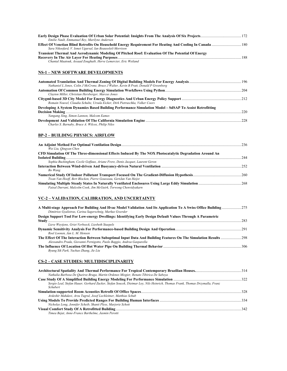| Emilie Nault, Emmanuel Rey, Marilyne Andersen                                                            |  |
|----------------------------------------------------------------------------------------------------------|--|
|                                                                                                          |  |
| Sara Nikoofard, V. Ismet Ugursal, Ian Beausoleil-Morrison                                                |  |
| <b>Transient Thermal And Aerodynamic Modeling Of Pitched Roof: Evaluation Of The Potential Of Energy</b> |  |
|                                                                                                          |  |
| Chantal Maatouk, Assaad Zoughaib, Herve Lemercier, Eric Weiland                                          |  |

## **NS-1 – NEW SOFTWARE DEVELOPMENTS**

| Nathaniel L Jones, Colin J McCrone, Bruce J Walter, Kevin B Pratt, Donald P Greenberg                   |  |
|---------------------------------------------------------------------------------------------------------|--|
|                                                                                                         |  |
| Clayton Miller, Christian Hersberger, Marcus Jones                                                      |  |
|                                                                                                         |  |
| Romain Nouvel, Claudia Schulte, Ursula Eicker, Dirk Pietruschka, Volker Coors                           |  |
| Developing A System Dynamics Based Building Performance Simulation Model – SdSAP To Assist Retrofitting |  |
|                                                                                                         |  |
| Yangang Xing, Simon Lannon, Malcom Eames                                                                |  |
|                                                                                                         |  |
| Charles S. Barnaby, Bruce A. Wilcox, Philip Niles                                                       |  |

## **BP-2 – BUILDING PHYSICS: AIRFLOW**

| Wei Liu, Oingvan Chen                                                                                   |  |
|---------------------------------------------------------------------------------------------------------|--|
| CFD Simulation Of The Three-dimensional Effects Induced By The NOX Photocatalytic Degradation Around An |  |
|                                                                                                         |  |
| Sophia Buckingham, Cecile Goffaux, Ariane Frere, Denis Jacquet, Laurent Geron                           |  |
|                                                                                                         |  |
| Bo Wang                                                                                                 |  |
|                                                                                                         |  |
| Twan Van Hooff, Bert Blocken, Pierre Gousseau, GertJan Van Heijst                                       |  |
|                                                                                                         |  |
| Faisal Durrani, Malcolm Cook, Jim McGuirk, Torwong Chenvidyakarn                                        |  |

## **VC-2 – VALIDATION, CALIBRATION, AND UNCERTAINTY**

| A Multi-stage Approach For Building And Hyac Model Validation And Its Application To A Swiss Office Building 275 |  |
|------------------------------------------------------------------------------------------------------------------|--|
| Dimitrios Gyalistras, Carina Sagerschnig, Markus Gwerder                                                         |  |
| Design Support Tool For Low-energy Dwellings: Identifying Early Design Default Values Through A Parametric       |  |
|                                                                                                                  |  |
| Lieve Weytjens, Griet Verbeeck, Liesbeth Staepels                                                                |  |
|                                                                                                                  |  |
| Roel Loonen, Jan L. M. Hensen                                                                                    |  |
|                                                                                                                  |  |
| Alessandro Prada, Giovanni Pernigotto, Paolo Baggio, Andrea Gasparella                                           |  |
|                                                                                                                  |  |
| Byung Sik Park, Yuchao Zhang, Jie Liu                                                                            |  |

## **CS-2 – CASE STUDIES: MULTIDISCIPLINARITY**

| Nathalia Barbosa De Queiroz Braga, Martin Ordenes Mizgier, Renato Tibirica De Saboya                                                    |  |
|-----------------------------------------------------------------------------------------------------------------------------------------|--|
|                                                                                                                                         |  |
| Sergio Leal, Stefan Hauer, Gerhard Zucker, Stefan Soucek, Dietmar Loy, Nils Heinrich, Thomas Frank, Thomas Drzymalla, Franz<br>Schubert |  |
|                                                                                                                                         |  |
| Ardeshir Mahdavi, Arzu Tugrul, Josef Lechleitner, Matthias Schub                                                                        |  |
|                                                                                                                                         |  |
| Nicholas Long, Jennifer Scheib, Shanti Pless, Marjorie Schott                                                                           |  |
|                                                                                                                                         |  |
| Timea Bejat, Anne-France Barthelme, Jasmin Perotti                                                                                      |  |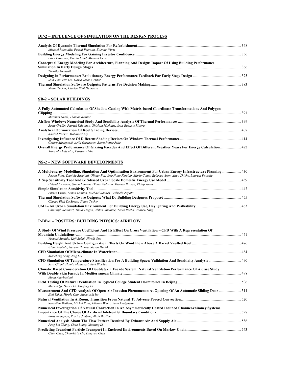## **DP-2 – INFLUENCE OF SIMULATION ON THE DESIGN PROCESS**

| Mickael Rabouille, Pascal Perrotin, Etienne Wurtz                                                                         |  |
|---------------------------------------------------------------------------------------------------------------------------|--|
| Ellen Franconi, Kristin Field, Michael Deru                                                                               |  |
| Conceptual Energy Modeling For Architecture, Planning And Design: Impact Of Using Building Performance<br>Timothy Hemsath |  |
| Shih-Hsin Eve Lin, David Jason Gerber                                                                                     |  |
| Simon Tucker, Clarice Bleil De Souza                                                                                      |  |

#### **SB-2 – SOLAR BUILDINGS**

| A Fully Automated Calculation Of Shadow Casting With Matrix-based Coordinate Transformations And Polygon       |  |
|----------------------------------------------------------------------------------------------------------------|--|
|                                                                                                                |  |
| Matthias Gladt. Thomas Bednar                                                                                  |  |
|                                                                                                                |  |
| Remy Greffet, Patrick Salagnac, Ghislain Michaux, Jean-Baptiste Ridoret                                        |  |
|                                                                                                                |  |
| Khaled Nassar, Mohamed Alv                                                                                     |  |
|                                                                                                                |  |
| Cezary Misiopecki, Arild Gustavsen, Bjorn Petter Jelle                                                         |  |
| Overall Energy Performance Of Glazing Facades And Effect Of Different Weather Years For Energy Calculation 422 |  |
| Anna Machniewicz, Dariusz Heim                                                                                 |  |

## **NS-2 – NEW SOFTWARE DEVELOPMENTS**

| A Multi-energy Modelling, Simulation And Optimisation Environment For Urban Energy Infrastructure Planning 430           |  |
|--------------------------------------------------------------------------------------------------------------------------|--|
| Jessen Page, Daniele Basciotti, Olivier Pol, Jose Nuno Figaldo, Mario Couto, Rebecca Aron, Alice Chiche, Laurent Fournie |  |
|                                                                                                                          |  |
| Heledd Iorwerth, Simon Lannon, Diana Waldron, Thomas Bassett, Philip Jones                                               |  |
|                                                                                                                          |  |
| Enrico Crobu, Simon Lannon, Michael Rhodes, Gabriela Zapata                                                              |  |
|                                                                                                                          |  |
| Clarice Bleil De Souza, Simon Tucker                                                                                     |  |
| Christoph Reinhart, Timur Dogan, Alstan Jakubiec, Tarek Rakha, Andrew Sang                                               |  |

## **P-BP-1 – POSTERS: BUILDING PHYSICS: AIRFLOW**

| A Study Of Wind Pressure Coefficient And Its Effect On Cross Ventilation – CFD With A Representation Of                                                       |  |
|---------------------------------------------------------------------------------------------------------------------------------------------------------------|--|
|                                                                                                                                                               |  |
| Yasuaki Sumida, Koji Sakai, Hiroki Ono                                                                                                                        |  |
| Islam Abohela, Neveen Hamza, Steven Dudek                                                                                                                     |  |
| Xiaocheng Song, Jing Liu                                                                                                                                      |  |
| Sara Gilani, Hamid Montazeri, Bert Blocken                                                                                                                    |  |
| Climatic Based Consideration Of Double Skin Facade System: Natural Ventilation Performance Of A Case Study<br>Mona Azarbayjani                                |  |
| Meiwei Qi, Haoru Li, Xiaofeng Li                                                                                                                              |  |
| Measurement And CFD Analysis Of Open Air Invasion Phenomenon At Opening Of An Automatic Sliding Door 514<br>Koji Sakai, Hiroki Ono, Masatoshi Ito             |  |
| Sebastien Wullens, Michel Pons, Etienne Wurtz, Yann Fraigneau                                                                                                 |  |
| Numerical Investigation Of Natural Convection In An Asymmetrically Heated Inclined Channel-chimney Systems.<br>Boris Brangeon, Patrice Joubert, Alain Bastide |  |
| Peng Lei Zhang, Chao Liang, Xianting Li                                                                                                                       |  |
| Chun Chen, Chao-Hsin Lin, Qingyan Chen                                                                                                                        |  |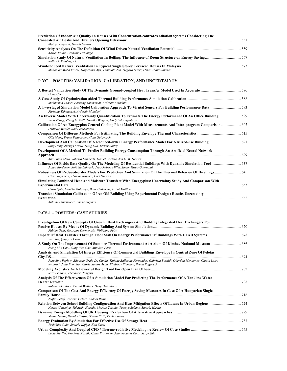| Prediction Of Indoor Air Quality In Houses With Concentration-control-ventilation Systems Considering The |  |
|-----------------------------------------------------------------------------------------------------------|--|
|                                                                                                           |  |
| Motova Havashi, Haruki Osawa                                                                              |  |
|                                                                                                           |  |
| Xavier Faure, Francois Demouge                                                                            |  |
|                                                                                                           |  |
| Kelin Li. Xiaofeng Li                                                                                     |  |
|                                                                                                           |  |
| Mohamad Mohd Faizal, Hagishima Aya, Tanimoto Jun, Ikegaya Naoki, Omar Abdul Rahman                        |  |

## **P-VC – POSTERS: VALIDATION, CALIBRATION, AND UNCERTAINTY**

| Dong Chen                                                                                                                                                                  |     |
|----------------------------------------------------------------------------------------------------------------------------------------------------------------------------|-----|
| Mahnameh Taheri, Farhang Tahmasebi, Ardeshir Mahdavi                                                                                                                       |     |
| A Two-staged Simulation Model Calibration Approach To Virutal Sensors For Building Performance Data593<br>Farhang Tahmasebi, Ardeshir Mahdavi                              |     |
| An Inverse Model With Uncertainty Quantification To Estimate The Energy Performance Of An Office Building<br>Yuna Zhang, Zheng O'Neill, Timothy Wagner, Godfried Augenbroe | 599 |
| Danielle Monfet, Radu Zmeureanu                                                                                                                                            |     |
| Olfa Mejri, Bruno Peuportier, Alain Guiavarch                                                                                                                              |     |
| Development And Calibration Of A Reduced-order Energy Performance Model For A Mixed-use Building 621<br>Bing Dong, Zheng O'Neill, Dong Luo, Trevor Bailey                  |     |
| Development Of A Method To Predict Building Energy Consumption Through An Artificial Neural Network                                                                        |     |
|                                                                                                                                                                            | 629 |
| Ana Paula Melo, Roberto Lamberts, Daniel Costola, Jan L. M. Hensen                                                                                                         |     |
| Julien Borderon, Rofaida Lahrech, Jean-Robert Millet, Sihem Tasca-Guernouti                                                                                                |     |
| Glenn Reynders, Thomas Nuytten, Dirk Saelens                                                                                                                               |     |
| Simulating Combined Heat And Moisture Transfert With Energyplus: Uncertainty Study And Comparison With                                                                     | 653 |
| Clara Spitz, Monika Woloszyn, Buhe Catherine, Labat Matthieu                                                                                                               |     |
| <b>Transient Simulation Calibration Of An Old Building Using Experimental Design: Results Uncertainty</b>                                                                  |     |
| <b>Evaluation</b>                                                                                                                                                          | 662 |
| Antoine Caucheteux, Emma Stephan                                                                                                                                           |     |

## **P-CS-1 – POSTERS: CASE STUDIES**

| Investigation Of New Concepts Of Ground Heat Exchangers And Building Integrated Heat Exchangers For                                                                                                         |     |
|-------------------------------------------------------------------------------------------------------------------------------------------------------------------------------------------------------------|-----|
|                                                                                                                                                                                                             | 670 |
| Fabian Ochs, Georgios Dermentzis, Wolfgang Feist                                                                                                                                                            |     |
| Yan Xue, Oingvan Chen                                                                                                                                                                                       |     |
| Jeong Min Choi, Sung Woo Cho, Min Soo Park                                                                                                                                                                  |     |
| Analysis And Simulation Of Energy Efficiency Of Commercial Buildings Envelope In Central Zone Of Pelotas                                                                                                    |     |
|                                                                                                                                                                                                             | 694 |
| Jaqueline Peglow, Eduardo Grala Da Cunha, Tatiane Ballerine Fernandes, Gabriela Beraldi, Oberdan Mendonca, Cassia Laire<br>Kozloski, Julia Robaldo, Vitoria Santos Avila, Kimberly Pinheiro, Bruna Rogovski |     |
| Sara Persoon, Theodoor Hongens                                                                                                                                                                              |     |
| Analysis Of The Effectiveness Of A Simulation Model For Predicting The Performance Of A Tankless Water                                                                                                      |     |
| Heater Retrofit                                                                                                                                                                                             | 708 |
| Robert John Ries, Russell Walters, Deny Dwiantoro                                                                                                                                                           |     |
| <b>Comparison Of The Cost And Energy Efficiency Of Energy Saving Measures In Case Of A Hungarian Single</b>                                                                                                 |     |
|                                                                                                                                                                                                             | 716 |
| Zsofia Belafi, Adrienn Gelesz, Andras Reith                                                                                                                                                                 |     |
| Noriko Umemiya, Takayuki Harada, Masato Tokuda, Tatsuya Sakane, Satoshi Hirata                                                                                                                              | 724 |
|                                                                                                                                                                                                             |     |
| Simon Taylor, David Allinson, Steven Firth, Kevin Lomas                                                                                                                                                     |     |
|                                                                                                                                                                                                             |     |
| Toshihiko Sudo, Ryoichi Kajiya, Koji Sakai                                                                                                                                                                  |     |
| Lucie Merlier, Frederic Kuznik, Gilles Rusaouen, Jean-Jacques Roux, Serge Salat                                                                                                                             |     |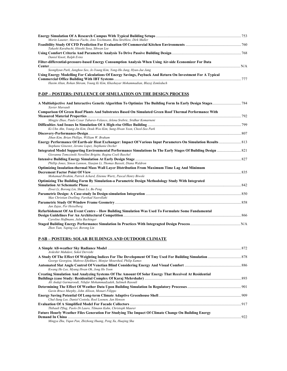| Moritz Lauster, Marcus Fuchs, Jens Teichmann, Rita Streblow, Dirk Muller                                  |      |
|-----------------------------------------------------------------------------------------------------------|------|
|                                                                                                           |      |
| Takashi Kurabuchi, Hitoshi Sosa, Sihwan Lee                                                               |      |
|                                                                                                           |      |
| Daniel Knott, Ralph Evins                                                                                 |      |
| Filter-differential-pressure-based Energy Consumption Analysis When Using Air-side Economizer For Data    |      |
|                                                                                                           |      |
| Seonghyun Park, Janghoo Seo, Je-Young Kim, Yong-Ho Jung, Hyun-Jae Jang                                    |      |
| Using Energy Modelling For Calculations Of Energy Savings, Payback And Return On Investment For A Typical |      |
|                                                                                                           | -777 |
| Hasim Altan, Rohan Shiram, Young Ki Kim, Khashayar Mohammadian, Blazej Zemleduch                          |      |

## **P-DP – POSTERS: INFLUENCE OF SIMULATION ON THE DESIGN PROCESS**

| Xavier Marsault                                                                                       |     |
|-------------------------------------------------------------------------------------------------------|-----|
| Comparison Of Green Roof Plants And Substrates Based On Simulated Green Roof Thermal Performance With |     |
| Mingjie Zhao, Paulo Cesar Tabares-Velasco, Jelena Srebric, Sridhar Komarneni                          |     |
|                                                                                                       |     |
| Ki-Uhn Ahn, Young-Jin Kim, Deuk-Woo Kim, Sung-Hwan Yoon, Cheol-Soo Park                               |     |
|                                                                                                       |     |
| Jihun Kim, Brian Phillips, William W. Braham                                                          |     |
| Stephane Ginestet, Jerome Lopez, Stephanie Decker                                                     |     |
| Giovanna Tomczinski Novellini Brigitte, Regina Coeli Ruschel                                          |     |
| Phillip Jones, Simon Lannon, Xiaojun Li, Thomas Bassett, Diana Waldron                                |     |
| <b>Optimizing Insulation-thermal Mass Wall Layer Distribution From Maximum Time Lag And Minimum</b>   |     |
| Mohamad Ibrahim, Patrick Achard, Etienne Wurtz, Pascal Henry Biwole                                   |     |
| Optimizing The Building Form By Simulation-a Parametric Design Methodology Study With Integrated      |     |
| Ziwei Li, Borong Lin, Shuai Lv, Bo Peng                                                               | 842 |
|                                                                                                       |     |
| Max Christian Doelling, Farshad Nasrollahi                                                            |     |
| Jan Zajas, Per Heiselberg                                                                             | 858 |
| Refurbishment Of An Event Centre – How Building Simulation Was Used To Formulate Some Fundamental     |     |
| Caroline Hoffmann, Julia Bachinger                                                                    |     |
|                                                                                                       |     |
| Zhen Tian, Yaping Lei, Borong Lin                                                                     |     |

## **P-SB – POSTERS: SOLAR BUILDINGS AND OUTDOOR CLIMATE**

| Ardeshir Mahdavi, Sokol Dervishi                                                                            |     |
|-------------------------------------------------------------------------------------------------------------|-----|
| George Georgiou, Mahroo Eftekhari, Monjur Mourshed, Philip Eames                                            |     |
| Kwang Ho Lee, Myung Hwan Oh, Jong Ho Yoon                                                                   |     |
| <b>Creating Simulation And Analyzing Systems Of The Amount Of Solar Energy That Received At Residential</b> |     |
|                                                                                                             |     |
| Ali Andaji Garmaroodi, Nilufar Mohammadzadeh, Salimeh Rasouli                                               |     |
|                                                                                                             |     |
| Gavin Bruce Murphy, John Allison, Monari Filippo                                                            |     |
|                                                                                                             |     |
| Chul-Sung Lee, Daniel Costola, Roel Loonen, Jan Hensen                                                      |     |
|                                                                                                             |     |
| Thibault Pflug, Paolo Di Lauro, Tilmann Kuhn, Christoph Maurer                                              |     |
| Future Hourly Weather Files Generation For Studying The Impact Of Climate Change On Building Energy         |     |
| Demand In China                                                                                             | 922 |
| Minena Zhu, Viaun Dan, Zhirbong Huang, Dong Vu, Hugjing Sha                                                 |     |

*Mingya Zhu, Yiqun Pan, Zhizhong Huang, Peng Xu, Huajing Sha*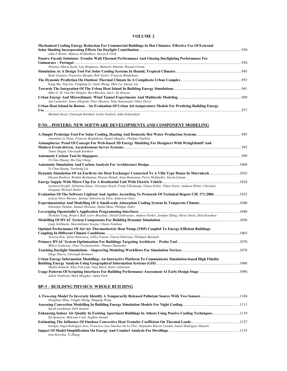## **VOLUME 2**

| Mechanical Cooling Energy Reduction For Commercial Buildings In Hot Climates: Effective Use Of External<br>John P Brittle, Mahroo M Eftekhari, Steven K Firth |  |
|---------------------------------------------------------------------------------------------------------------------------------------------------------------|--|
| Passive Facade Solutions: Trombe Wall Thermal Performance And Glazing Daylighting Performance For                                                             |  |
|                                                                                                                                                               |  |
| Helenice Maria Sacht, Luis Braganca, Manuela Almeida, Rosana Caram                                                                                            |  |
|                                                                                                                                                               |  |
| Remi Granjon, Francoise Burgun, Rob Taylor, Francois Boudehenn                                                                                                |  |
|                                                                                                                                                               |  |
| Kang Mu, Jing Liu, Fangfang Li, Jianli Zhang, Zhen Lu, Junyue Liu                                                                                             |  |
|                                                                                                                                                               |  |
| Mike G. M. Van Der Heijden, Bert Blocken, Jan L. M. Hensen                                                                                                    |  |
|                                                                                                                                                               |  |
| Jan Carmeliet, Jonas Allegrini, Peter Moonen, Saba Saneinejad, Viktor Dorer                                                                                   |  |
| Urban Heat Island In Boston – An Evaluation Of Urban Air-temperature Models For Predicing Building Energy                                                     |  |
|                                                                                                                                                               |  |

*Michael Street, Christoph Reinhart, Leslie Norford, John Ochsendorf* 

## **P-NS – POSTERS: NEW SOFTWARE DEVELOPMENTS AND COMPONENT MODELING**

| Amandine Le Denn, Francois Boudehenn, Daniel Mugnier, Philippe Papillon                                                                                                         |      |
|---------------------------------------------------------------------------------------------------------------------------------------------------------------------------------|------|
| Atmospheres: Proof Of Concept For Web-based 3D Energy Modeling For Designers With Webgl/html5 And                                                                               |      |
|                                                                                                                                                                                 |      |
| Timur Dogan, Christoph Reinhart                                                                                                                                                 |      |
|                                                                                                                                                                                 | .999 |
| Yi Chun Huang, Hui Eng Cheng                                                                                                                                                    |      |
|                                                                                                                                                                                 |      |
| Yi Chun Huang, Yuezhong Liu                                                                                                                                                     |      |
| Hassan Bouhess, Brahim Benhamou, Hassan Hamdi, Amin Bennouna, Pierre Hollmuller, Karim Limam                                                                                    |      |
|                                                                                                                                                                                 |      |
| Gerhard Zweifel, Sebastian Klauz, Christian Struck, Frank Tillenkamp, Tobias Keller, Viktor Dorer, Andreas Weber, Christian<br>Gaegauf, Michael Sattler                         |      |
| Evaluation Of The Software Lightool And Apolux According To Protocols Of Technical Report CIE 171:2006  1032<br>Leticia Niero Moraes, Adriane Sobreira da Silva, Anderson Claro |      |
| Sebastien Thomas, Samuel Hennaut, Stefan Maas, Philippe Andre                                                                                                                   |      |
|                                                                                                                                                                                 |      |
| Nicholas Long, Brian L Ball, Larry Brackney, David Goldwasser, Andrew Parker, Jennifer Elling, Oliver Davis, Dale Kruchten                                                      |      |
|                                                                                                                                                                                 |      |
| Luigi Schibuola, Massimiliano Scarpa, Chiara Tambani                                                                                                                            |      |
| Optimal Performance Of Air/Air Thermoelectric Heat Pump (THP) Coupled To Energy-Efficient Buildings                                                                             |      |
|                                                                                                                                                                                 |      |
| Yeweon Kim, Julien Ramousse, Gilles Fraisse, Pascal Dalicieux, Philippes Baranek                                                                                                |      |
|                                                                                                                                                                                 |      |
| Milica Grahovac, Peter Tzscheutschler, Thomas Hamacher                                                                                                                          |      |
|                                                                                                                                                                                 |      |
| Diego Ibarra, Christoph Reinhart                                                                                                                                                |      |
| Urban Energy Information Modelling: An Interactive Platform To Communicate Simulation-based High Fidelity                                                                       |      |
|                                                                                                                                                                                 |      |
| Shalini Ramesh, Khee Poh Lam, Nina Baird, Henry Johnstone                                                                                                                       |      |
| Julien Nembrini, Mark Meagher, Adam Park                                                                                                                                        | 1096 |

## **BP-3 – BUILDING PHYSICS: WHOLE BUILDING**

| Hongbiao Zhou, Tengfei Zhang, Shugang Wang                                                                         |  |
|--------------------------------------------------------------------------------------------------------------------|--|
|                                                                                                                    |  |
| Sarah Leenknegt, Dirk Saelens                                                                                      |  |
| Enhancing Indoor Air Quality In Existing Apartment Buildings In Athens Using Passive Cooling Techniques1119        |  |
| Efi Spentzou, Malcolm Cook, Stephen Emmitt                                                                         |  |
|                                                                                                                    |  |
| Enrique Angel Rodriguez Jara, Francisco Jose Sanchez De La Flor, Alejandro Rincon Casado, Ismael Rodriguez Maestre |  |
|                                                                                                                    |  |
| Ivan Korolija, Yi Zhang                                                                                            |  |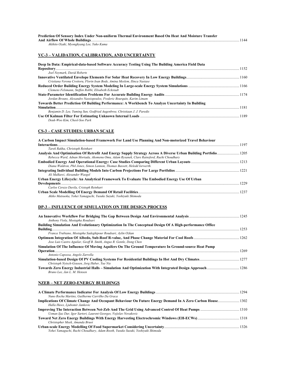| Prediction Of Sensory Index Under Non-uniform Thermal Environment Based On Heat And Moisture Transfer |      |
|-------------------------------------------------------------------------------------------------------|------|
|                                                                                                       | 1144 |
| Akihito Ozaki, Myonghyang Lee, Vuko Kuma                                                              |      |

#### *Akihito Ozaki, Myonghyang Lee, Yuko Kuma*

## **VC-3 – VALIDATION, CALIBRATION, AND UNCERTAINTY**

| Deep In Data: Empirical-data-based Software Accuracy Testing Using The Building America Field Data |  |
|----------------------------------------------------------------------------------------------------|--|
|                                                                                                    |  |
| Joel Nevmark, David Roberts                                                                        |  |
|                                                                                                    |  |
| Cristiana Verona Croitoru. Florin Ioan Bode. Amina Meslem. Ilinca Nastase                          |  |
|                                                                                                    |  |
| Clemens Felsmann, Steffen Robbi, Elisabeth Eckstadt                                                |  |
|                                                                                                    |  |
| Jordan Brouns, Alexandre Nassiopoulos, Frederic Bourquin, Karim Limam                              |  |
| Towards Better Prediction Of Building Performance: A Workbench To Analyze Uncertainty In Building  |  |
|                                                                                                    |  |
| Benjamin D. Lee, Yuming Sun, Godfried Augenbroe, Christiaan J. J. Paredis                          |  |
|                                                                                                    |  |
| Deuk-Woo Kim, Cheol-Soo Park                                                                       |  |

## **CS-3 – CASE STUDIES: URBAN SCALE**

| A Carbon Impact Simulation-based Framework For Land Use Planning And Non-motorized Travel Behaviour                                                                                                         |      |
|-------------------------------------------------------------------------------------------------------------------------------------------------------------------------------------------------------------|------|
|                                                                                                                                                                                                             | 1197 |
| Tarek Rakha, Christoph Reinhart                                                                                                                                                                             |      |
| Analysis And Optimisation Of Retrofit And Energy Supply Strategy Across A Diverse Urban Building Portfolio 1205<br>Rebecca Ward, Adnan Mortada, Akomenu Omu, Adam Rysanek, Clare Rainsford, Ruchi Choudhary |      |
| Diana Waldron, Phil Jones, Simon Lannon, Thomas Bassett, Heledd Jorwerth,                                                                                                                                   |      |
| Ali Malkawi, Alexander Waegel                                                                                                                                                                               |      |
| Urban Energy Lifecycle: An Analytical Framework To Evaluate The Embodied Energy Use Of Urban                                                                                                                |      |
|                                                                                                                                                                                                             | 1229 |
| Carlos Cerezo Davila, Cristoph Reinhart                                                                                                                                                                     |      |
| Akiko Matsuoka, Yohei Yamaguchi, Yusuke Suzuki, Yoshiyuki Shimoda                                                                                                                                           |      |

## **DP-3 – INFLUENCE OF SIMULATION ON THE DESIGN PROCESS**

| Anthony Viola, Mostapha Roudsari                                                                        |      |
|---------------------------------------------------------------------------------------------------------|------|
| Building Simulation And Evolutionary Optimization In The Conceptual Design Of A High-performance Office |      |
|                                                                                                         |      |
| Franca Trubiano, Mostapha Sadeghipour Roudsari, Avlin Ozkan                                             |      |
| Jose Luis Castro Aguilar, Geoff B. Smith, Angus R. Gentle, Dong Chen                                    |      |
| Simulation Of The Influence Of Moving Aquifers On The Ground Temperature In Ground-source Heat Pump     |      |
|                                                                                                         | 1269 |
| Antonio Capozza, Angelo Zarrella                                                                        |      |
| Christoph Nytsch-Geusen, Jorg Huber, Yue Nie                                                            |      |
| Bruno Lee, Jan L. M. Hensen                                                                             |      |

## **NZEB – NET ZERO-ENERGY BUILDINGS**

| Nuno Rocha Martins. Guilherme Carrilho Da Graca                                |  |
|--------------------------------------------------------------------------------|--|
|                                                                                |  |
| Halla Huws, Ljubomir Jankovic                                                  |  |
|                                                                                |  |
| Usman Ijaz Dar, Igor Sartori, Laurent Georges, Vojislav Novakovic              |  |
|                                                                                |  |
| Christopher Meek, Amanda Bruot                                                 |  |
|                                                                                |  |
| Yohei Yamaguchi, Ruchi Choudhary, Adam Booth, Yusuke Suzuki, Yoshiyuki Shimoda |  |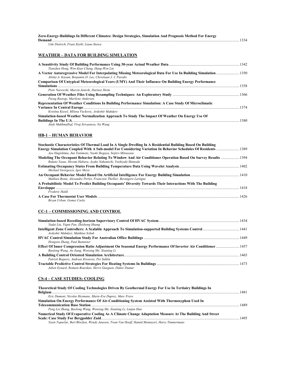| Zero-Energy-Buildings In Different Climates: Design Strategies, Simulation And Prognosis Method For Energy |      |
|------------------------------------------------------------------------------------------------------------|------|
|                                                                                                            | 1334 |
| Udo Dietrich, Franz Kiehl, Liana Stoica                                                                    |      |

## **WEATHER – DATA FOR BUILDING SIMULATION**

| Tianzhen Hong, Wen-Kuei Chang, Hung-Wen Lin                                                                                                                                                                                         |  |
|-------------------------------------------------------------------------------------------------------------------------------------------------------------------------------------------------------------------------------------|--|
| A Vector Autoregressive Model For Interpolating Missing Meteorological Data For Use In Building Simulation  1350<br>Alisha A. Kasam, Benjamin D. Lee, Christiaan J. J. Paredis                                                      |  |
| Comparison Of Untypical Meteorological Years (UMY) And Their Influence On Building Energy Performance                                                                                                                               |  |
| Simulations                                                                                                                                                                                                                         |  |
| Piotr Narowski, Marcin Janicki, Dariusz Heim                                                                                                                                                                                        |  |
| Parag Rastogi, Marilyne Andersen                                                                                                                                                                                                    |  |
| Representation Of Weather Conditions In Building Performance Simulation: A Case Study Of Microclimatic                                                                                                                              |  |
| Kristina Kiesel, Milena Vuckovic, Ardeshir Mahdavi                                                                                                                                                                                  |  |
| Simulation-based Weather Normalization Approach To Study The Impact Of Weather On Energy Use Of                                                                                                                                     |  |
| <b>Buildings In The U.S.</b> [1380] [1380] [1380] [1380] [1380] [1380] [1380] [1380] [1380] [1380] [1380] [1380] [1380] [1380] [1380] [1380] [1380] [1380] [1380] [1380] [1380] [1380] [1380] [1380] [1380] [1380] [1380] [1380] [1 |  |
| Atefe Makhmalbaf, Virai Srivastava, Na Wang                                                                                                                                                                                         |  |

## **HB-1 – HUMAN BEHAVIOR**

| Energy Simulation Coupled With A Sub-model For Considering Variation In Behavior Schedules Of Residents  1389<br>Aya Hagishima, Jun Tanimoto, Naoki Ikegaya, Seijiro Mitsuyasu<br>Modeling The Occupant Behavior Relating To Window And Air Conditioner Operation Based On Survey Results  1394<br>Rakuto Yasue, Hiromi Habara, Ayako Nakamichi, Yoshiyuki Shimoda<br>Michael Georgescu, Igor Mezic<br>Mathieu Bonte, Alexandre Perles, Francoise Thellier, Berangere Lartigue | Stochastic Characteristics Of Thermal Load In A Single Dwelling In A Residential Building Based On Building |  |
|--------------------------------------------------------------------------------------------------------------------------------------------------------------------------------------------------------------------------------------------------------------------------------------------------------------------------------------------------------------------------------------------------------------------------------------------------------------------------------|-------------------------------------------------------------------------------------------------------------|--|
|                                                                                                                                                                                                                                                                                                                                                                                                                                                                                |                                                                                                             |  |
|                                                                                                                                                                                                                                                                                                                                                                                                                                                                                |                                                                                                             |  |
|                                                                                                                                                                                                                                                                                                                                                                                                                                                                                |                                                                                                             |  |
| A Probabilistic Model To Predict Building Occupants' Diversity Towards Their Interactions With The Building                                                                                                                                                                                                                                                                                                                                                                    |                                                                                                             |  |
|                                                                                                                                                                                                                                                                                                                                                                                                                                                                                |                                                                                                             |  |
|                                                                                                                                                                                                                                                                                                                                                                                                                                                                                |                                                                                                             |  |
|                                                                                                                                                                                                                                                                                                                                                                                                                                                                                |                                                                                                             |  |
|                                                                                                                                                                                                                                                                                                                                                                                                                                                                                |                                                                                                             |  |
|                                                                                                                                                                                                                                                                                                                                                                                                                                                                                |                                                                                                             |  |
|                                                                                                                                                                                                                                                                                                                                                                                                                                                                                |                                                                                                             |  |
| Frederic Haldi                                                                                                                                                                                                                                                                                                                                                                                                                                                                 |                                                                                                             |  |
|                                                                                                                                                                                                                                                                                                                                                                                                                                                                                |                                                                                                             |  |
|                                                                                                                                                                                                                                                                                                                                                                                                                                                                                | Brvan Urban, Gomez Carla                                                                                    |  |

## **CC-1 – COMMISSIONING AND CONTROL**

| Yudai Liu, Yiqun Pan, Zhizhong Huang                                                                                                                              |  |
|-------------------------------------------------------------------------------------------------------------------------------------------------------------------|--|
| Ardeshir Mahdavi, Matthias Schub                                                                                                                                  |  |
| Hongsen Zhang, Paul Bannister                                                                                                                                     |  |
| Effect Of Inner Compression Ratio Adjustment On Seasonal Energy Performance Of Inverter Air Conditioner  1457<br>Baolong Wang, An Jiang, Wenxing Shi, Xianting Li |  |
| Patrick Beguery, Andreas Kissavos, Per Sahlin                                                                                                                     |  |
| Julien Eynard, Romain Bourdais, Herve Gueguen, Didier Dumur                                                                                                       |  |

## **CS-4 – CASE STUDIES: COOLING**

| Theoretical Study Of Cooling Technologies Driven By Geothermal Energy For Use In Tertiairy Buildings In  |      |
|----------------------------------------------------------------------------------------------------------|------|
| Eric Dumont, Nicolas Heymans, Marie-Eve Duprez, Marc Frere                                               |      |
| Simulation On Energy Performance Of Air-Conditioning System Assisted With Thermosyphon Used In           |      |
| Peng Lei Zhang, Baolong Wang, Wenxing Shi, Xianting Li, Linjun Han                                       |      |
| Numerical Study Of Evaporative Cooling As A Climate Change Adaptation Measure At The Building And Street | 1495 |
| Yasin Toparlar, Bert Blocken, Wendy Janssen, Twan Van Hooff, Hamid Montazeri, Harry Timmermans           |      |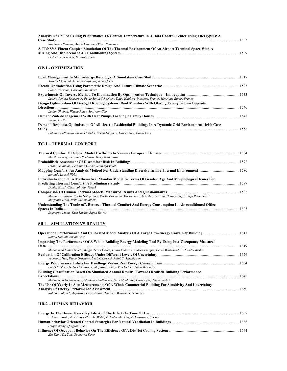| Analysis Of Chilled Ceiling Performance To Control Temperature In A Data Control Center Using Energyplus: A                                                                          |  |
|--------------------------------------------------------------------------------------------------------------------------------------------------------------------------------------|--|
| Raghuram Sunnam, Annie Marston, Oliver Baumann                                                                                                                                       |  |
| A TRNSYS-Fluent Coupled Simulation Of The Thermal Environment Of An Airport Terminal Space With A                                                                                    |  |
| Lesh Gowreesunker, Savvas Tassou                                                                                                                                                     |  |
| <b>OP-1 - OPTIMIZATION</b>                                                                                                                                                           |  |
| Aurelie Chabaud, Julien Eynard, Stephane Grieu                                                                                                                                       |  |
| Elliot Glassman, Christoph Reinhart                                                                                                                                                  |  |
| Leticia Jenisch Rodrigues, Paulo Smith Schneider, Tiago Haubert Andriotty, Francis Henrique Ramos Franca                                                                             |  |
| Design Optimization Of Daylight Roofing Systems: Roof Monitors With Glazing Facing In Two Opposite                                                                                   |  |
| Ladan Ghobad, Wayne Place, Soolyeon Cho                                                                                                                                              |  |
| Young Jae Yu<br>Demand Response Optimisation Of All-electric Residential Buildings In A Dynamic Grid Environment: Irish Case                                                         |  |
| Fabiano Pallonetto, Simos Oxizidis, Roisin Duignan, Olivier Neu, Donal Finn                                                                                                          |  |
| <b>TC-1 - THERMAL COMFORT</b>                                                                                                                                                        |  |
| Martin Freney, Veronica Soebarto, Terry Williamson                                                                                                                                   |  |
| Halimi Sulaiman, Fernando Olsina, Santiago Velez                                                                                                                                     |  |
| Amanda Laurel Webb                                                                                                                                                                   |  |
| Individualization Of A Mathematical Manikin Model In Terms Of Gender, Age And Morphological Issues For<br>Daniel Wolki, Christoph Van Treeck                                         |  |
| Miimu Airaksinen, Riikka Holopainen, Pekka Tuomaala, Mikko Saari, Arto Antson, Annu Haapakangas, Virpi Ruohomaki,<br>Marjaana Lahti, Risto Ruotsalainen                              |  |
| Understanding The Trade-offs Between Thermal Comfort And Energy Consumption In Air-conditioned Office<br>Sanyogita Manu, Yash Shukla, Rajan Rawal                                    |  |
| <b>SR-1 - SIMULATION VS REALITY</b>                                                                                                                                                  |  |
| Rallou Dadioti, Simon Rees                                                                                                                                                           |  |
| Improving The Performance Of A Whole-Building Energy Modeling Tool By Using Post-Occupancy Measured                                                                                  |  |
| Mohammad Mahdi Salehi, Belgin Terim Cavka, Laura Fedoruk, Andrea Frisque, Derek Whitehead, W. Kendal Bushe                                                                           |  |
| Yeonsook Heo, Diane Graziano, Leah Guzowski, Ralph T. Muehleisen                                                                                                                     |  |
| Liesbeth Staepels, Griet Verbeeck, Staf Roels, Liesje Van Gelder, Geert Bauwens<br>Building Classification Based On Simulated Annual Results: Towards Realistic Building Performance |  |
| Mohammad Heidarinejad, Matthew Dahlhausen, Sean McMahon, Chris Pyke, Jelena Srebric                                                                                                  |  |
| The Use Of Yearly In Situ Measurements Of A Whole Commercial Building For Sensitivity And Uncertainty<br>Rofaida Lahrech, Augustine Fery, Antoine Gautier, Wilhemine Lecointre       |  |
| <b>HB-2 - HUMAN BEHAVIOR</b>                                                                                                                                                         |  |
| P. Cosar Jorda, R. A. Buswell, L. H. Webb, K. Leder Mackley, R. Morosanu, S. Pink                                                                                                    |  |
| Haojie Wang, Qingyan Chen                                                                                                                                                            |  |
| Xin Zhou, Da Yan, Guangwei Deng                                                                                                                                                      |  |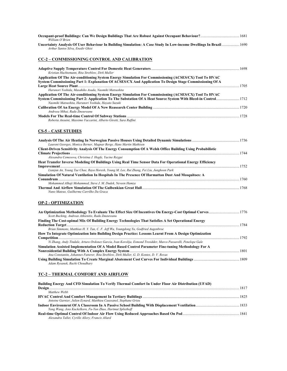| William O'Brien                                                                                                          |  |
|--------------------------------------------------------------------------------------------------------------------------|--|
| 1690 Uncertainty Analysis Of User Behaviour In Building Simulation: A Case Study In Low-income Dwellings In Brazil  1690 |  |
| Arthur Santos Silva, Enedir Ghisi                                                                                        |  |

## **CC-2 – COMMISSIONING CONTROL AND CALIBRATION**

| Kristian Huchtemann, Rita Streblow, Dirk Muller                                                                                                                      |      |
|----------------------------------------------------------------------------------------------------------------------------------------------------------------------|------|
| Application Of The Air-conditioning System Energy Simulation For Commissioning (ACSES/CX) Tool To HVAC                                                               |      |
| System Commissioning Part 1: Explanation Of ACSES/CX And Application To Design Stage Commissioning Of A                                                              |      |
|                                                                                                                                                                      |      |
| Harunori Yoshida, Masahiko Asada, Naomiki Matsushita                                                                                                                 |      |
| Application Of The Air-conditioning System Energy Simulation For Commissioning (ACSES/CX) Tool To HVAC                                                               |      |
| System Commissioning Part 2: Application To The Substation Of A Heat Source System With Bleed-in Control 1712<br>Naomiki Matsushita, Harunori Yoshida, Hayato Suzuki |      |
| Andreea Mihai. Radu Zmeureanu                                                                                                                                        |      |
| Roberta Ansuini, Massimo Vaccarini, Alberto Giretti, Sara Ruffini                                                                                                    |      |
|                                                                                                                                                                      |      |
| <b>CS-5 – CASE STUDIES</b><br>Laurent Georges, Monica Berner, Magnar Berge, Hans Martin Mathisen                                                                     |      |
| Client-Driven Sensitivity Analysis Of The Energy Consumption Of A Welsh Office Building Using Probabilistic                                                          |      |
|                                                                                                                                                                      | 1744 |
| Alexandra Cemesova, Christina J. Hopfe, Yacine Rezgui                                                                                                                |      |
| Heat Transfer Inverse Modeling Of Buildings Using Real Time Sensor Data For Operational Energy Efficiency                                                            |      |
|                                                                                                                                                                      | 1752 |
| Lianjun An, Young Tae Chae, Raya Horesh, Young M. Lee, Rui Zhang, Fei Liu, Junghoon Park                                                                             |      |
| Simulation Of Natural Ventilation In Hospitals In The Presence Of Harmattan Dust And Mosquitoes: A                                                                   |      |
|                                                                                                                                                                      | 1760 |
| Mohammed Alhaji Mohammed, Steve J. M. Dudek, Neveen Hamza                                                                                                            |      |

## **OP-2 - OPTIMIZATION**

| Scott Bucking, Andreas Athienitis, Radu Zmeureanu                                                               |  |
|-----------------------------------------------------------------------------------------------------------------|--|
| Finding The Cost-opimal Mix Of Building Energy Technologies That Satisfies A Set Operational Energy             |  |
|                                                                                                                 |  |
| Brian Simmons, Matthias H. Y. Tan, C. F. Jeff Wu, Youngdong Yu, Godfried Augenbroe                              |  |
| How To Integrate Optimization Into Building Design Practice: Lessons Learnt From A Design Optimization          |  |
|                                                                                                                 |  |
| Yi Zhang, Andy Tindale, Arturo Ordonez Garcia, Ivan Korolija, Esmond Tresidder, Marco Passarelli, Penelope Gale |  |
| Simulation Assisted Implementation Of A Model Based Control Parameter Fine-tuning Methodology For A             |  |
|                                                                                                                 |  |
| Ana Constantin, Johannes Futterer, Rita Streblow, Dirk Muller, G. D. Kontes, D. V. Rovas                        |  |
|                                                                                                                 |  |
| Adam Rysanek, Ruchi Choudhary                                                                                   |  |

## **TC-2 – THERMAL COMFORT AND AIRFLOW**

| Building Energy And CFD Simulation To Verify Thermal Comfort In Under Floor Air Distribution (UFAD) |  |
|-----------------------------------------------------------------------------------------------------|--|
|                                                                                                     |  |
| Matthew Webb                                                                                        |  |
|                                                                                                     |  |
| Antoine Garnier, Julien Eynard, Matthieu Caussanel, Stephane Grieu                                  |  |
|                                                                                                     |  |
| Yang Wang, Jens Kuckelkorn, Fu-Yun Zhao, Hartmut Spliethoff                                         |  |
|                                                                                                     |  |
| Alexandra Tallet, Cyrille Allery, Francis Allard                                                    |  |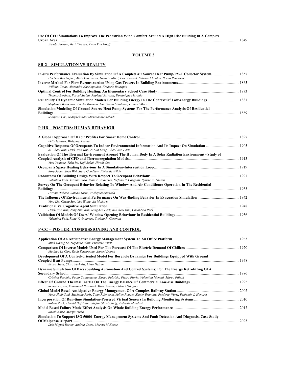| Use Of CFD Simulations To Improve The Pedestrian Wind Comfort Around A High Rise Building In A Complex |      |
|--------------------------------------------------------------------------------------------------------|------|
| Urban Area.                                                                                            | 1849 |
| Wondy Langson, Dout Plaskon, Turgu Van Hooff                                                           |      |

*Wendy Janssen, Bert Blocken, Twan Van Hooff* 

#### **VOLUME 3**

## **SR-2 – SIMULATION VS REALITY**

| Hachem Ben Nejma, Alain Guiavarch, Ismael Lokhat, Eric Auzenet, Fabrice Claudon, Bruno Peuportier  |  |
|----------------------------------------------------------------------------------------------------|--|
| William Cesar, Alexandre Nassiopoulos, Frederic Bourquin                                           |  |
| Thomas Berthou, Pascal Stabat, Raphael Salvazet, Dominique Marchio                                 |  |
| Stephanie Bontemps, Aurelie Kaemmerlen, Geraud Blatman, Laurent Mora                               |  |
| Simulation Modeling Of Ground Source Heat Pump Systems For The Performance Analysis Of Residential |  |
| Soolveon Cho, Sedighehsadat Mirianhosseinabadi                                                     |  |

**P-HB – POSTERS: HUMAN BEHAVIOR**

| Felix Iglesias, Wolgang Kastner                                                                         |      |
|---------------------------------------------------------------------------------------------------------|------|
| Ki-Cheol Kim, Deuk-Woo Kim, Ji-Eun Kang, Cheol-Soo Park                                                 |      |
| Evaluation Of The Thermal Environment Around The Human Body In A Solar Radiation Environment - Study of |      |
|                                                                                                         |      |
| Yuta Yamane, Taku Ito, Koji Sakai, Hiroki Ono                                                           |      |
|                                                                                                         |      |
| Rory Jones, Shen Wei, Steve Goodhew, Pieter de Wilde                                                    |      |
|                                                                                                         |      |
| Valentina Fabi, Tiziana Buso, Rune V. Andersen, Stefano P. Corgnati, Bjarne W. Olesen                   |      |
| Survey On The Occupant Behavior Relating To Window And Air Conditioner Operation In The Residential     |      |
|                                                                                                         | 1935 |
| Hiromi Habara, Rakuto Yasue, Yoshiyuki Shimoda                                                          |      |
| Ying Liu, Cheng Sun, Xue Wang, Ali Malkawi                                                              |      |
|                                                                                                         | 1948 |
| Deuk-Woo Kim, Jong-Hun Kim, Sang-Lin Park, Ki-Cheol Kim, Cheol-Soo Park                                 |      |
|                                                                                                         |      |
| Valentina Fabi, Rune V. Andersen, Stefano P. Corgnati                                                   |      |

## **P-CC – POSTER: COMMISSIONING AND CONTROL**

| Minh Hoang Le, Stephane Ploix, Frederic Wurtz                                                                       |         |
|---------------------------------------------------------------------------------------------------------------------|---------|
|                                                                                                                     |         |
| Mathieu Le Cam. Radu Zmeureanu. Ahmed Daoud                                                                         |         |
| Development Of A Control-oriented Model For Borehole Dynamics For Buildings Equipped With Ground                    |         |
| Ercan Atam, Clara Verhelst, Lieve Helsen                                                                            | .1978   |
| Dynamic Simulation Of Bacs (building Automation And Control Systems) For The Energy Retrofitting Of A               |         |
|                                                                                                                     | 1986    |
| Cristina Becchio, Paolo Cantamessa, Enrico Fabrizio, Pietro Florio, Valentina Monetti, Marco Filippi                |         |
| Remon Lapisa, Emmanuel Bozonnet, Marc Abadie, Patrick Salagnac                                                      |         |
| Yanis Hadj-Said, Stephane Ploix, Yann Rifonneau, Julien Pouget, Xavier Brunotte, Frederic Wurtz, Benjamin L'Henoret | 2002    |
| Robert Zach, Harald Hofstatter, Stefan Glawischnig, Ardeshir Mahdavi                                                | 2010    |
| Ritesh Khire, Marija Trcka                                                                                          | $-2017$ |
| Simulation To Support ISO 50001 Energy Management Systems And Fault Detection And Diagnosis. Case Study             | 2025    |
| Luis Miguel Restov, Andrea Costa, Marcus M Keane                                                                    |         |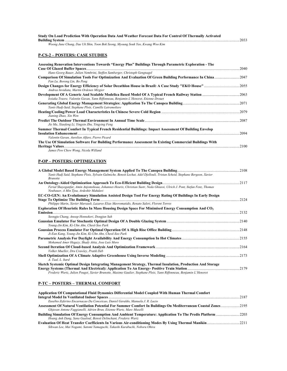| Study On Load Prediction With Operation Data And Weather Forecast Data For Control Of Thermally Activated |      |
|-----------------------------------------------------------------------------------------------------------|------|
|                                                                                                           | 2033 |
| Woong June Chung, Dae Uk Shin, Yoon Bok Seong, Myoung Souk Yeo, Kwang Woo Kim                             |      |

## **P-CS-2 – POSTERS: CASE STUDIES**

| <b>Assessing Renovation Interventions Towards "Energy Plus" Buildings Through Parametric Exploration - The</b> |       |
|----------------------------------------------------------------------------------------------------------------|-------|
| Hans-Georg Bauer, Julien Nembrini, Steffen Samberger, Christoph Gengnagel                                      | 2040  |
|                                                                                                                |       |
| Fan Lu, Borong Lin, Bo Peng                                                                                    | .2047 |
| Andrea Invidiata, Martin Ordenes Mizgier                                                                       | 2055  |
| Issiaka Traore, Valentin Gavan, Yann Riffonneau, Benjamin L'Henoret, Etienne Drouet                            | 2063  |
| Yanis Hadj-Said, Stephane Ploix, Camille Latremoliere                                                          | .2071 |
| Jianing Zhao, Xin Wen                                                                                          | 2079  |
| Jie Ma, Xiaofeng Li, Yingxin Zhu, Yingying Feng                                                                | 2087  |
| Summer Thermal Comfort In Typical French Residential Buildings: Impact Assessment Of Building Envelop          |       |
|                                                                                                                | 2094  |
| Valentin Gavan, Aurelien Alfare, Pierre Picard                                                                 |       |
| The Use Of Simulation Software For Building Performance Assessment In Existing Commercial Buildings With       | 2100  |
| James Pow Chew Wong, Nicola Willand                                                                            |       |

## **P-OP – POSTERS: OPTIMIZATION**

| Yanis Hadj Said, Stephane Ploix, Sylvain Galmiche, Benoit Lechat, Adel Djellouli, Tristan Scheid, Stephane Bergeon, Xavier<br><b>Brunotte</b>                      | .2108 |
|--------------------------------------------------------------------------------------------------------------------------------------------------------------------|-------|
|                                                                                                                                                                    | .2117 |
| Ferial Shayeganfar, Amin Anjomshoaa, Johannes Heurix, Christian Sustr, Neda Ghiassi, Ulrich J. Pont, Stefan Fenz, Thomas<br>Neubauer, A Min Tjoa, Ardeshir Mahdavi |       |
| EC-CO-GEN: An Evolutionary Simulation Assisted Design Tool For Energy Rating Of Buildings In Early Design                                                          |       |
|                                                                                                                                                                    | 2124  |
| Philippe Marin, Xavier Marsault, Lazaros Elias Mavromatidis, Renato Saleri, Florent Torres                                                                         |       |
| Exploration Of Heuristic Rules In Mass Housing Design Space For Minimised Energy Consumption And $CO2$                                                             |       |
|                                                                                                                                                                    | 2132  |
| Seongju Chang, Anoop Honnekeri, Dongjun Suh                                                                                                                        |       |
| Young-Jin Kim, Ki-Uhn Ahn, Cheol-Soo Park                                                                                                                          | .2140 |
| Ji-Eun Kang, Young-Jin Kim, Ki-Uhn Ahn, Cheol-Soo Park                                                                                                             | .2148 |
| Mohamed Amer Hegazy, Shady Attia, Jose Luis Moro                                                                                                                   | .2155 |
| Volker Mueller, Dru Crawley, Pratik Deb                                                                                                                            | 2164  |
| A. Taal, L. Itard                                                                                                                                                  | 2173  |
| Sketch Systemic Optimal Design Integrating Management Strategy, Thermal Insulation, Production And Storage                                                         |       |
|                                                                                                                                                                    | .2179 |
| Frederic Wurtz, Julien Pouget, Xavier Brunotte, Maxime Gaulier, Stephane Ploix, Yann Riffonneau, Benjamin L'Henoret                                                |       |

## **P-TC – POSTERS – THERMAL COMFORT**

| Application Of Computational Fluid Dynamics Differential Model Coupled With Human Thermal Comfort                 |      |
|-------------------------------------------------------------------------------------------------------------------|------|
|                                                                                                                   | 2187 |
| Eusebio Zeferino Encarnacao Da Conceicao, Daniel Geraldo, Manuela J. R. Lucio                                     |      |
| Assessment Of Natural Ventilation Potential For Summer Comfort In Buildings On Mediterranean Coastal Zones2195    |      |
| Ghjuvan Antone Faggianelli, Adrien Brun, Etienne Wurtz, Marc Muselli                                              |      |
| <b>Building Simulation Of Energy Consumption And Ambient Temperature: Application To The Predis Platform 2203</b> |      |
| Hoang Anh Dang, Sana Gaaloul, Benoit Delinchant, Frederic Wurtz                                                   |      |
|                                                                                                                   |      |
| Sihwan Lee, Mai Nogami, Satomi Yamaguchi, Takashi Kurabuchi, Noboru Ohira                                         |      |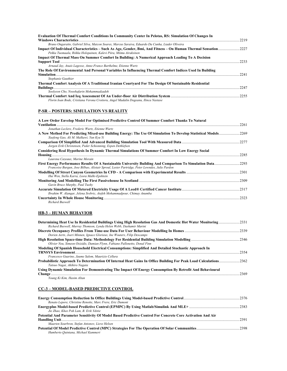| Evaluation Of Thermal Comfort Conditions In Community Center In Pelotas, RS: Simulation Of Changes In                   |       |
|-------------------------------------------------------------------------------------------------------------------------|-------|
|                                                                                                                         | 2219  |
| Bruno Ongaratto, Gabriel Silva, Maicon Soares, Marcus Saraiva, Eduardo Da Cunha, Liader Oliveira                        |       |
| Pekka Tuomaala, Riikka Holopainen, Kalevi Piira, Miimu Airaksinen                                                       | .2227 |
| Impact Of Thermal Mass On Summer Comfort In Building: A Numerical Approach Leading To A Decision                        |       |
|                                                                                                                         | 2233  |
| Arnaud Jay, Anais Lagesse, Anne-France Barthelme, Etienne Wurtz                                                         |       |
| The Role Of Environmental And Personal Variables In Influencing Thermal Comfort Indices Used In Building<br>Simulation. | 2241  |
| Stephanie Gauthier                                                                                                      |       |
| Thermal Comfort Analysis Of A Traditional Iranian Courtyard For The Design Of Sustainable Residential                   |       |
| Soolveon Cho, Nooshafarin Mohammadzadeh                                                                                 | 2247  |
| Florin Ioan Bode, Cristiana Verona Croitoru, Angel Madalin Dogeanu, Ilinca Nastase                                      | 2255  |

## **P-SR – POSTERS: SIMULATION VS REALITY**

| A Low Order Envelop Model For Optimised Predictive Control Of Summer Comfort Thanks To Natural                                                        |       |
|-------------------------------------------------------------------------------------------------------------------------------------------------------|-------|
| Ventilation<br>Jonathan Leclere, Frederic Wurtz, Etienne Wurtz                                                                                        | 2261  |
| A New Method For Predicting Mixed-use Building Energy: The Use Of Simulation To Develop Statistical Models<br>Xuefeng Gao, Ali M. Malkawi, Yun Kyu Yi | .2269 |
| Jorgen Erik Christensen, Peder Schionning, Espen Dethlefsen                                                                                           | 2277  |
| <b>Considering Real Hypothesis In Dynamic Thermal Simulations Of Summer Comfort In Low Energy Social</b>                                              | 2285  |
| Laurena Cazeaux, Marine Morain                                                                                                                        |       |
| Francoise Burgun, Jose Bilbao, Alistair Sproul, Lester Partridge, Peter Lowndes, Julie Pardon                                                         | 2293  |
| Hui Wen, Stella Karra, Liora Malki-Epshtein                                                                                                           | 2301  |
| Gavin Bruce Murphy, Paul Tuohy                                                                                                                        | 2309  |
| Ibrahim W. Alangar, Jelena Srebric, Atefeh Mohammadpour, Chimay Anumba                                                                                | 2317  |
| <b>Richard Buswell</b>                                                                                                                                | 2323  |

## **HB-3 – HUMAN BEHAVIOR**

| Determining Heat Use In Residential Buildings Using High Resolution Gas And Domestic Hot Water Monitoring 2331                                   |      |
|--------------------------------------------------------------------------------------------------------------------------------------------------|------|
| Richard Buswell, Murray Thomson, Lynda Helen Webb, Dashamir Marini                                                                               |      |
|                                                                                                                                                  |      |
| Dorien Aerts, Joeri Minnen, Ignace Glorieux, Ine Wouters, Filip Descamps                                                                         |      |
|                                                                                                                                                  |      |
| Olivier Neu, Simeon Oxizidis, Damian Flynn, Fabiano Pallonetto, Donal Finn                                                                       |      |
| Modeling Of Spanish Household Electrical Consumptions: Simplified And Detailed Stochastic Approach In                                            |      |
|                                                                                                                                                  | 2354 |
| Francesco Guarino, Jaume Salom, Maurizio Cellura                                                                                                 |      |
| Probabilistic Approach To Determination Of Internal Heat Gains In Office Building For Peak Load Calculations2362<br>Tatsuo Nagai, Akihiro Nagata |      |
| Using Dynamic Simulation For Demonstrating The Impact Of Energy Consumption By Retrofit And Behavioural                                          |      |
|                                                                                                                                                  | 2369 |
|                                                                                                                                                  |      |

*Young Ki Kim, Hasim Altan* 

## **CC-3 – MODEL-BASED PREDICTIVE CONTROL**

| Renato Lepore, Christine Renotte, Marc Frere, Eric Dumont                                                  |  |
|------------------------------------------------------------------------------------------------------------|--|
|                                                                                                            |  |
| Jie Zhao, Khee Poh Lam, B. Erik Ydstie                                                                     |  |
| Potential And Parameter Sensitivity Of Model Based Predictive Control For Concrete Core Activation And Air |  |
|                                                                                                            |  |
| Maarten Sourbron, Stefan Antonov, Lieve Helsen                                                             |  |
|                                                                                                            |  |
| Humberto Ouintana, Michael Kummert                                                                         |  |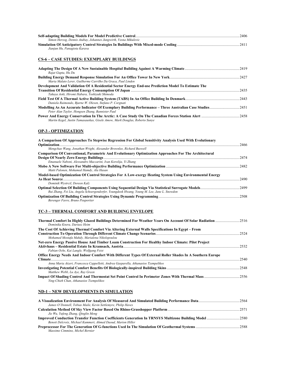|                                                                  | 2406 |
|------------------------------------------------------------------|------|
| Simon Herzog, Dennis Atabay, Johannes Jungwirth, Vesna Mikulovic |      |
|                                                                  |      |
| Jianjun Hu, Panagiota Karava                                     |      |

## **CS-6 – CASE STUDIES: EXEMPLARY BUILDINGS**

| Rajat Gupta, Hu Du                                                                                                                                           |  |
|--------------------------------------------------------------------------------------------------------------------------------------------------------------|--|
| Maria Malato Lerer, Guilherme Carrilho Da Graca, Paul Linden                                                                                                 |  |
| Development And Validation Of A Residential Sector Energy End-use Prediction Model To Estimate The                                                           |  |
| Takuva Aoki, Hiromi Habara, Yoshiyuki Shimoda<br>Daniela Raimondo, Bjarne W. Olesen, Stefano P. Corgnati                                                     |  |
| Modelling As An Accurate Indicator Of Exemplary Building Performance – Three Australian Case Studies2451<br>Peter Alan Taylor, Hongsen Zhang, Bannister Paul |  |
| Martin Kegel, Justin Tamasauskas, Gisele Amow, Mark Douglas, Roberto Sunye                                                                                   |  |

## **OP-3 - OPTIMIZATION**

| A Comparison Of Approaches To Stepwise Regression For Global Sensitivity Analysis Used With Evolutionary  |       |
|-----------------------------------------------------------------------------------------------------------|-------|
|                                                                                                           | 2466  |
| Mengchao Wang, Jonathan Wright, Alexander Brownlee, Richard Buswell                                       |       |
| Comparison Of Conventional, Parametric And Evolutionary Optimization Approaches For The Architectural     |       |
|                                                                                                           | 2474  |
| Emanuele Naboni, Alessandro Maccarini, Ivan Korolija, Yi Zhang                                            |       |
|                                                                                                           |       |
| Matti Palonen. Mohamed Hamdy. Ala Hasan                                                                   |       |
| Model-based Optimization Of Control Strategies For A Low-exergy Heating System Using Environmental Energy |       |
|                                                                                                           | 2490  |
| Dominik Wystrcil, Doreen Kalz                                                                             |       |
|                                                                                                           | 2499  |
| Rui Zhang, Fei Liu, Angela Schoergendorfer, Youngdeok Hwang, Young M. Lee, Jane L. Snowdon                |       |
|                                                                                                           | .2508 |
| Berenger Favre, Bruno Peuportier                                                                          |       |

## **TC-3 – THERMAL COMFORT AND BUILDING ENVELOPE**

|                                                                                                                | $-2516$ |
|----------------------------------------------------------------------------------------------------------------|---------|
| Dominika Knera, Dariusz Heim                                                                                   |         |
| The Cost Of Achieving Thermal Comfort Via Altering External Walls Specifications In Egypt – From               |         |
|                                                                                                                | 2524    |
| Mohamed Mostafa Mahdy, Marialena Nikolopoulou                                                                  |         |
| Net-zero Energy Passive House And Timber Loam Construction For Healthy Indoor Climate: Pilot Project           |         |
| Aktivhaus – Residential Estate In Kramsach, Austria metamanan menyerutkan perantanan menyerutkan perantanan me | 2532    |
| Fabian Ochs, Kai Langle, Wolfgang Feist                                                                        |         |
| Office Energy Needs And Indoor Comfort With Different Types Of External Roller Shades In A Southern Europe     |         |
|                                                                                                                | 2540    |
| Anna Maria Atzeri, Francesca Cappelletti, Andrea Gasparella, Athanasios Tzempelikos                            |         |
|                                                                                                                | .2548   |
| Matthew Webb, Lu Aye, Ray Green                                                                                |         |
|                                                                                                                | 2556    |
| Ying-Chieh Chan. Athanasios Tzempelikos                                                                        |         |

## **ND-1 – NEW DEVELOPMENTS IN SIMULATION**

| James O'Donnell, Tobias Maile, Kevin Settlemyre, Philip Haves |  |
|---------------------------------------------------------------|--|
|                                                               |  |
| Jie Wu, Yufeng Zhang, Oinglin Meng                            |  |
|                                                               |  |
| Benoit Delcroix, Michael Kummert, Ahmed Daoud, Marion Hiller  |  |
|                                                               |  |
| Massimo Cimmino, Michel Bernier                               |  |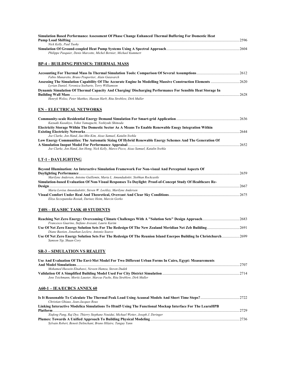| Simulation Based Performance Assessment Of Phase Change Enhanced Thermal Buffering For Domestic Heat                                                    |  |
|---------------------------------------------------------------------------------------------------------------------------------------------------------|--|
| Nick Kelly, Paul Tuohy                                                                                                                                  |  |
| Philippe Pasquier, Denis Marcotte, Michel Bernier, Michael Kummert                                                                                      |  |
| <u> BP-4 – BUILDING PHYSICS: THERMAL MASS</u>                                                                                                           |  |
| Fabio Munaretto, Bruno Peuportier, Alain Guiavarch                                                                                                      |  |
| Lyrian Daniel, Veronica Soebarto, Terry Williamson                                                                                                      |  |
| Dynamic Simulation Of Thermal Capacity And Charging/ Discharging Performance For Sensible Heat Storage In                                               |  |
| Henryk Wolisz, Peter Matthes, Hassan Harb, Rita Streblow, Dirk Muller                                                                                   |  |
| <u>EN – ELECTRICAL NETWORKS</u>                                                                                                                         |  |
| Kazuaki Kusakiyo, Yohei Yamaguchi, Yoshiyuki Shimoda                                                                                                    |  |
| Electricity Storage Within The Domestic Sector As A Means To Enable Renewable Enegy Integration Within                                                  |  |
| Joe Clarke, Jon Hand, Jae-Min Kim, Aizaz Samuel, Katalin Svehla                                                                                         |  |
| Low Energy Communities: The Automatic Sizing Of Hybrid Renewable Energy Schemes And The Generation Of                                                   |  |
| Joe Clarke, Jon Hand, Jun Hong, Nick Kelly, Marco Picco, Aizaz Samuel, Katalin Svehla                                                                   |  |
| <b>LT-1 - DAYLIGHTING</b>                                                                                                                               |  |
| Beyond Illumination: An Interactive Simulation Framework For Non-visual And Perceptual Aspects Of                                                       |  |
| Marilyne Andersen, Antoine Guillemin, Maria L. Amundadottir, Siobhan Rockcastle                                                                         |  |
| Simulation-based Evaluation Of Non-Visual Responses To Daylight: Proof-of-Concept Study Of Healthcare Re-                                               |  |
| Maria Lovisa Amundadottir, Steven W. Lockley, Marilyne Andersen                                                                                         |  |
| Eliza Szczepanska-Rosiak, Dariusz Heim, Marcin Gorko                                                                                                    |  |
| <u>T40S – IEA/SHC TASK 40 STUDENTS</u>                                                                                                                  |  |
| Francesco Guarino, Stefano Avesani, Laurie Karim                                                                                                        |  |
| Diane Bastien, Jonathan Leclere, Antonio Soares                                                                                                         |  |
| Use Of Net Zero Energy Solution Sets For The Redesign Of The Reunion Island Enerpos Building In Christchurch2699<br>Samson Yip, Shaan Cory              |  |
| <u>SR-3 – SIMULATION VS REALITY</u>                                                                                                                     |  |
| Use And Evaluation Of The Envi-Met Model For Two Different Urban Forms In Cairo, Egypt: Measurements                                                    |  |
| Mohamed Hussein Elnabawi, Neveen Hamza, Steven Dudek                                                                                                    |  |
| Jens Teichmann, Moritz Lauster, Marcus Fuchs, Rita Streblow, Dirk Muller                                                                                |  |
|                                                                                                                                                         |  |
| <u> A60-1 – IEA/ECBCS ANNEX 60</u>                                                                                                                      |  |
| Is It Reasonable To Calculate The Thermal Peak Load Using Acausal Models And Short Time Steps?……………………………………2722<br>Christian Ghiaus, Jean-Jacques Roux |  |
| Linking Interactive Modelica Simulations To Html5 Using The Functional Mockup Interface For The LearnHPB                                                |  |
| Xiufeng Pang, Raj Dye, Thierry Stephane Nouidui, Michael Wetter, Joseph J. Deringer                                                                     |  |
| Sylvain Robert, Benoit Delinchant, Bruno Hilaire, Tanguy Yann                                                                                           |  |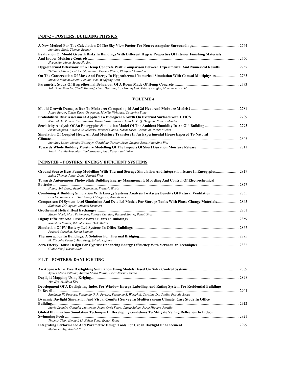## **P-BP-2 – POSTERS: BUILDING PHYSICS**

| Matthias Gladt. Thomas Bednar                                                                                                                                                       |      |
|-------------------------------------------------------------------------------------------------------------------------------------------------------------------------------------|------|
| Evaluation Of Mould Growth Risks In Buildings With Different Hygric Properties Of Interior Finishing Materials                                                                      |      |
|                                                                                                                                                                                     | 2750 |
| Hyeun Jun Moon, Seung Ho Ryu                                                                                                                                                        |      |
| Hygrothermal Behaviour Of A Hemp Concrete Wall: Comparison Between Experimental And Numerical Results2757<br>Thibaut Colinart, Patrick Glouannec, Thomas Pierre, Philippe Chauvelon |      |
| On The Conservation Of Mass And Energy In Hygrothermal Numerical Simulation With Comsol Multiphysics 2765<br>Michele Bianchi Janetti, Fabian Ochs, Wolfgang Feist                   |      |
|                                                                                                                                                                                     |      |
| Anh Dung Tran Le, Chadi Maalouf, Omar Douzane, Ton Hoang Mai, Thierry Langlet, Mohammed Lachi                                                                                       |      |

#### **VOLUME 4**

| Julien Berger, Sihem Tasca-Guernouti, Monika Woloszyn, Catherine Buhe                              |      |
|----------------------------------------------------------------------------------------------------|------|
|                                                                                                    |      |
| Nuno M. M. Ramos, Eva Barreira, Maria Lurdes Simoes, Joao M. P. O. Delgado, Nathan Mendes          |      |
|                                                                                                    |      |
| Emma Stephan, Antoine Caucheteux, Richard Cantin, Sihem Tasca-Guernouti, Pierre Michel             |      |
| Simulation Of Coupled Heat, Air And Moisture Transfers In An Experimental House Exposed To Natural |      |
|                                                                                                    | 2803 |
| Matthieu Labat, Monika Woloszyn, Geraldine Garnier, Jean-Jacques Roux, Amandine Piot               |      |
|                                                                                                    |      |
| Anastasios Markopoulos, Paul Strachan, Nick Kelly, Paul Baker                                      |      |

## **P-ENSTZE – POSTERS: ENERGY EFFICIENT SYSTEMS**

| Aidan Thomas Jones, Donal Patrick Finn                                                              | .2819 |
|-----------------------------------------------------------------------------------------------------|-------|
| Towards Autonomous Photovoltaic Building Energy Management: Modeling And Control Of Electrochemical |       |
|                                                                                                     | 2827  |
| Hoang Anh Dang, Benoit Delinchant, Frederic Wurtz                                                   |       |
| Ivan Oropeza-Perez, Poul Alberg Ostergaard, Arne Remmen                                             | .2835 |
| Katherine D'Avignon, Michael Kummert                                                                | .2843 |
|                                                                                                     | 2851  |
| Xavier Moch, Marc Palomares, Fabrice Claudon, Bernard Souvri, Benoit Stutz                          |       |
| Sebastian Stinner, Rita Streblow, Dirk Muller                                                       | 2859  |
| Prakash Sarnobat, Simon Lannon                                                                      | .2867 |
| M. Ebrahim Poulad, Alan Fung, Sylvain Lefrene                                                       | .2875 |
| Gunes Nazif, Hasim Altan                                                                            |       |

## **P-LT – POSTERS: DAYLIGHTING**

| Ayelen Maria Villalba, Andrea Elvira Pattini, Erica Norma Correa                                                                                                                                                                                                           |      |
|----------------------------------------------------------------------------------------------------------------------------------------------------------------------------------------------------------------------------------------------------------------------------|------|
|                                                                                                                                                                                                                                                                            | 2898 |
| Yun Kvu Yi. Jihun Kim<br>Development Of A Daylighting Index For Window Energy Labelling And Rating System For Residential Buildings<br><b>In Brazil</b> <u>[</u> <i>n</i> <b>a <i>n n n</i> <b><i>n n n n n n n n n n n n n n n n n n n n n n n n n n n n n n </i></b></b> | 2904 |
| Raphaela W. Fonseca, Fernando O. R. Pereira, Fernando S. Westphal, Carolina Dal Soglio, Priscila Besen                                                                                                                                                                     |      |
| Dynamic Daylight Simulation And Visual Comfort Survey In Mediterranean Climate. Case Study In Office                                                                                                                                                                       | 2912 |
| Maria Leandra Gonzalez Matterson, Joana Ortiz Ferra, Jaume Salom, Jorge Higuera Portilla                                                                                                                                                                                   |      |
| Global Illumination Simulation Technique In Developing Guidelines To Mitigate Veiling Reflection In Indoor                                                                                                                                                                 | 2921 |
| Thomas Chan, Kenneth Li, Kelvin Tong, Ernest Tsang                                                                                                                                                                                                                         |      |
| Mohamed Alv, Khaled Nassar                                                                                                                                                                                                                                                 |      |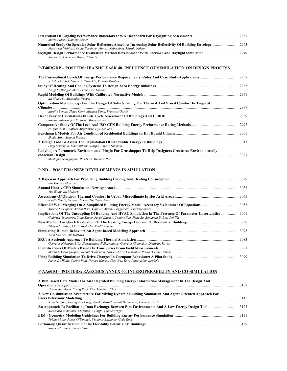| Maria Piderit, Daniela Besser                                     |  |
|-------------------------------------------------------------------|--|
|                                                                   |  |
| Masatoshi Nishioka, Craig Farnham, Minako Nabeshima, Masaki Nakao |  |
|                                                                   |  |
| Xianou Li, Frederick Wong, Yihan Li                               |  |

## **P-T40RGDP – POSTERS: IEA/SHC TASK 40, INFLUENCE OF SIMULATION ON DESIGN PROCESS**

| Kristian Fabbri, Lamberto Tronchin, Valerio Tarabusi                                                    | .2957 |
|---------------------------------------------------------------------------------------------------------|-------|
|                                                                                                         | 2965  |
| Tangi Le Berigot, Marc Frere, Eric Dumont<br>Ali Malkawi, Alexander Waegel                              | 2971  |
| Optimisation Methodology For The Design Of Solar Shading For Thermal And Visual Comfort In Tropical     | 2979  |
| Aurelie Lenoir, Shaan Cory, Michael Donn, Francois Garde                                                | 2989  |
| Roman Rabenseifer, Katarina Minarovicova                                                                |       |
| Ji Hyun Kim, Godfried Augenbroe, Hye-Soo Suh                                                            | 2997  |
| Shady Attia, Arnaud Evrard                                                                              | .3005 |
| Luigi Schibuola, Massimiliano Scarpa, Chiara Tambani                                                    | 3013  |
| Ladybug: A Parametric Environmental Plugin For Grasshopper To Help Designers Create An Environmentally- | 3021  |
| Mostapha Sadeghipour Roudsari, Michelle Pak                                                             |       |

## **P-ND – POSTERS: NEW DEVELOPMENTS IN SIMULATION**

|                                                                                                               | 3029  |
|---------------------------------------------------------------------------------------------------------------|-------|
| Bin Yan. Ali Malkawi                                                                                          |       |
|                                                                                                               | 3037  |
| Yue Wang, Ali Malkawi                                                                                         |       |
|                                                                                                               | .3045 |
| Khalid Setaih, Neveen Hamza, Tim Townshend                                                                    |       |
|                                                                                                               |       |
| Aurelie Foucquier, Adrien Brun, Ghjuvan Antone Faggianelli, Frederic Suard                                    |       |
| Implications Of The Uncoupling Of Building And HVAC Simulation In The Presence Of Parameter Uncertainties3061 |       |
| Godfried Augenbroe, Yuna Zhang, Javad Khazaii, Yuming Sun, Heng Su, Benjamin D. Lee, Jeff Wu                  |       |
|                                                                                                               |       |
| Tiberiu Catalina, Florin Iordache, Vlad Iordache                                                              |       |
|                                                                                                               |       |
| Yoon Soo Lee, Ali Malkawi                                                                                     |       |
|                                                                                                               | 3083  |
| Georgios Nektarios Lilis, Konstantinos F Sklivaniotis, Georgios Giannakis, Dimitrios Rovas                    |       |
|                                                                                                               | 3091  |
| Mathilde Grandjacques, Benoit Delinchant, Olivier Adrot, Clementine Prieur, Celine Helbert                    |       |
|                                                                                                               | 3099  |
| Pieter De Wilde, Sabine Pahl, Neveen Hamza, Shen Wei, Rory Jones, Islam Abohela                               |       |

## **P-AA60IO – POSTERS: EA/ECBCS ANNEX 60, INTEROPERABILITY AND CO-SIMULATION**

| A Bim Based Data Model For An Integrated Building Energy Information Management In The Design And                                                             |      |
|---------------------------------------------------------------------------------------------------------------------------------------------------------------|------|
|                                                                                                                                                               |      |
| Hyeun Jun Moon, Byung Kook Kim, Min Seok Choi                                                                                                                 |      |
| A New Co-simulation Architecture For Mixing Dynamic Building Simulation And Agent Oriented Approach For                                                       |      |
|                                                                                                                                                               | 3115 |
| Sana Gaaloul, Hoang Anh Dang, Ayesha Kashif, Benoit Delinchant, Frederic Wurtz                                                                                |      |
| An Approach To Facilitating Data Exchange Between Bim Environments And A Low Energy Design Tool 3123<br>Alexandra Cemesova, Christina J. Hopfe, Yacine Rezgui |      |
| Tobias Maile, James O'Donnell, Vladimir Bazjanac, Cody Rose                                                                                                   |      |
| Roel De Coninck, Lieve Helsen                                                                                                                                 |      |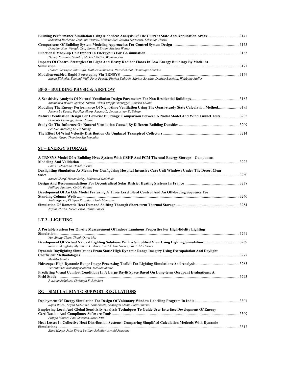| Sebastian Burhenne, Dominik Wystrcil, Mehmet Elci, Sattaya Narmsara, Sebastian Herkel               |  |
|-----------------------------------------------------------------------------------------------------|--|
|                                                                                                     |  |
| Donghun Kim, Wangda Zuo, James. E Braun, Michael Wetter                                             |  |
|                                                                                                     |  |
| Thierry Stephane Nouidui, Michael Wetter, Wangda Zuo                                                |  |
| Impacts Of Control Strategies On Light And Heavy Radiant Floors In Low Energy Buildings By Modelica |  |
| Simulation 3171                                                                                     |  |
| Hubert Blervaque, Sila Filfli, Mathieu Schumann, Pascal Stabat, Dominique Marchio                   |  |
|                                                                                                     |  |

*Atiyah Elsheikh, Edmund Widl, Peter Pensky, Florian Dubisch, Markus Brychta, Daniele Basciotti, Wolfgang Muller* 

## **BP-5 – BUILDING PHYSICS: AIRFLOW**

| Annamaria Belleri, Spencer Dutton, Ulrich Filippi Oberegger, Roberto Lollini                                  |  |
|---------------------------------------------------------------------------------------------------------------|--|
| Modeling The Energy Performance Of Night-time Ventilation Using The Quasi-steady State Calculation Method3195 |  |
| Jerome Le Dreau, Per Heiselberg, Rasmus L. Jensen, Avser D. Selman                                            |  |
| Natural Ventilation Design For Low-rise Buildings: Comparison Between A Nodal Model And Wind Tunnel Tests3202 |  |
| Francois Demouge, Xavier Faure                                                                                |  |
|                                                                                                               |  |
| Fei Xue, Xiaofeng Li, He Huang                                                                                |  |
|                                                                                                               |  |
| Neetha Vasan, Theodore Stathopoulos                                                                           |  |

## **ST – ENERGY STORAGE**

| A TRNSYS Model Of A Building Hyac System With GSHP And PCM Thermal Energy Storage – Component               |      |
|-------------------------------------------------------------------------------------------------------------|------|
|                                                                                                             | 3222 |
| Paul C. McKenna, Donal P. Finn                                                                              |      |
| Daylighting Simulation As Means For Configuring Hospital Intensive Care Unit Windows Under The Desert Clear |      |
|                                                                                                             | 3230 |
| Ahmed Sherif, Hanan Sabry, Mahmoud Gadelhak                                                                 |      |
|                                                                                                             |      |
| Philippe Papillon, Cedric Paulus                                                                            |      |
| Development Of An Ode Model Featuring A Three Level Bleed Control And An Off-loading Sequence For           |      |
|                                                                                                             | 3246 |
| Alain Nguyen, Philippe Pasquier, Denis Marcotte                                                             |      |
|                                                                                                             |      |
| Joynal Abedin, Steven Firth, Philip Eames                                                                   |      |

## **LT-2 - LIGHTING**

| A Portable System For On-site Measurement Of Indoor Luminous Properties For High-fidelity Lighting      |      |
|---------------------------------------------------------------------------------------------------------|------|
|                                                                                                         | 3261 |
| Yun-Shang Chiou. Thanh Ouvet Mai                                                                        |      |
| Rizki A. Mangkuto, Myriam B. C. Aries, Evert J. Van Loenen, Jan L. M. Hensen                            |      |
| Dynamic Daylighting Simulations From Static High Dynamic Range Imagery Using Extrapolation And Daylight |      |
|                                                                                                         | 3277 |
| Mehlika Inanici                                                                                         |      |
| Viswanathan Kumaragurubaran, Mehlika Inanici                                                            |      |
| Predicting Visual Comfort Conditions In A Large Daylit Space Based On Long-term Occupant Evaluations: A |      |
|                                                                                                         | 3293 |
| J. Alstan Jakubiec, Christoph F. Reinhart                                                               |      |

## **RG – SIMULATION TO SUPPORT REGULATIONS**

| Rajan Rawal, Srijan Didwania, Yash Shukla, Sanyogita Manu, Purvi Panchal                                   |      |
|------------------------------------------------------------------------------------------------------------|------|
| Employing Local And Global Sensitivity Analysis Techniques To Guide User Interface Development Of Energy   |      |
|                                                                                                            |      |
| Filippo Monari, Paul Strachan, Jose Ortiz                                                                  |      |
| Heat Losses In Collective Heat Distribution Systems: Comparing Simplified Calculation Methods With Dynamic |      |
|                                                                                                            | 3317 |
| Eline Himpe, Julio Efrain Vaillant Rebollar, Arnold Janssens                                               |      |
|                                                                                                            |      |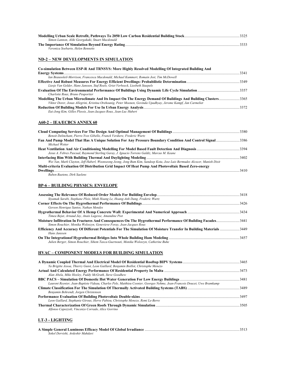| Simon Lannon, Aliki Georgakaki, Stuart Macdonald |      |
|--------------------------------------------------|------|
|                                                  | 3333 |
| Veronica Soebarto, Helen Bennetts                |      |

## **ND-2 – NEW DEVELOPMENTS IN SIMULATION**

| Co-simulation Between ESP-R And TRNSYS: More Highly Resolved Modelling Of Integrated Building And              |      |
|----------------------------------------------------------------------------------------------------------------|------|
|                                                                                                                | 3341 |
| Ian Beausoleil-Morrison, Francesca Macdonald, Michael Kummert, Romain Jost, Tim McDowell                       |      |
|                                                                                                                |      |
| Liesje Van Gelder, Hans Janssen, Staf Roels, Griet Verbeeck, Liesbeth Staepels                                 |      |
|                                                                                                                |      |
| Charlotte Roux, Bruno Peuportier                                                                               |      |
| Modelling The Urban Microclimate And Its Impact On The Energy Demand Of Buildings And Building Clusters3365    |      |
| Viktor Dorer, Jonas Allegrini, Kristina Orehounig, Peter Moonen, Govinda Upadhyay, Jerome Kampf, Jan Carmeliet |      |
|                                                                                                                |      |
| Eui-Jong Kim, Gilles Plessis, Jean-Jacques Roux, Jean-Luc Hubert                                               |      |

## **A60-2 – IEA/ECBCS ANNEX 60**

| Benoit Delinchant, Pierre-Yves Gibello, Franck Verdiere, Frederic Wurtz                                                   |  |
|---------------------------------------------------------------------------------------------------------------------------|--|
| Michael Wetter                                                                                                            |  |
|                                                                                                                           |  |
| Jesus A. Febres Pascual, Raymond Sterling Garay, J. Ignacio Torrens Galdiz, Marcus M. Keane                               |  |
| Wei Yan, Mark Clayton, Jeff Haberl, Woonseong Jeong, Jong Bum Kim, Sandeep Kota, Jose Luis Bermudez Alcocer, Manish Dixit |  |
| Multi-criteria Evaluation Of Distribution Grid Impact Of Heat Pump And Photovoltaic Based Zero-energy                     |  |
|                                                                                                                           |  |
| Duhan Daatang, Dink Saalang                                                                                               |  |

*Ruben Baetens, Dirk Saelens* 

## **BP-6 – BUILDING PHYSICS: ENVELOPE**

| Siyamak Sarabi, Stephane Ploix, Minh Hoang Le, Hoang-Anh Dang, Frederic Wurtz                                                                                                      |  |
|------------------------------------------------------------------------------------------------------------------------------------------------------------------------------------|--|
|                                                                                                                                                                                    |  |
| Gerson Henrique Santos, Nathan Mendes                                                                                                                                              |  |
| Timea Bejat, Arnaud Jay, Anais Lagesse, Amandine Piot                                                                                                                              |  |
| Moisture Infiltration In Fractures And Consequences On The Hygrothermal Performance Of Building Facades3441<br>Simon Rouchier, Monika Woloszyn, Genevieve Foray, Jean-Jacques Roux |  |
| Hans Janssen                                                                                                                                                                       |  |
| Julien Berger, Simon Rouchier, Sihem Tasca-Guernouti, Monika Woloszyn, Catherine Buhe                                                                                              |  |

## **HVAC – COMPONENT MODELS FOR BUILDING SIMULATION**

| Ya Brigitte Assoa, Thierry Guiot, Leon Gaillard, Benjamin Boillot, Christophe Menezo                                      |  |
|---------------------------------------------------------------------------------------------------------------------------|--|
|                                                                                                                           |  |
| Alan Abela, Mike Hoxley, Paddy McGrath, Steve Goodhew                                                                     |  |
|                                                                                                                           |  |
| Laurent Reynier, Jean-Baptiste Videau, Charles Pele, Matthieu Cosnier, Georges Nehme, Jean-Francois Doucet, Uwe Bramkamp  |  |
|                                                                                                                           |  |
| Benjamin Behrendt, Jorgen Christensen                                                                                     |  |
|                                                                                                                           |  |
| Leon Gaillard, Stephanie Giroux, Herve Pabiou, Christophe Menezo, Remi Le-Berre                                           |  |
| Thermal Characterization Of Green Roofs Through Dynamic Simulation <i>maching manufacture and manufacture manufacture</i> |  |
| Alfonso Capozzoli, Vincenzo Corrado, Alice Gorrino                                                                        |  |

## **LT-3 - LIGHTING**

| A Simple General Luminous Efficacy Model Of Global Irradiance. |  |
|----------------------------------------------------------------|--|
| Sokol Dervishi, Ardeshir Mahdavi                               |  |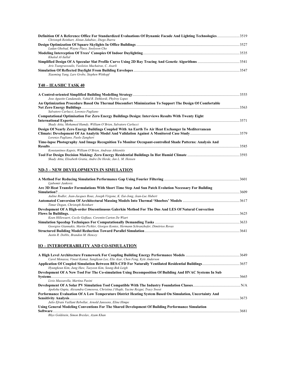| Definition Of A Reference Office For Standardized Evaluations Of Dynamic Facade And Lighting Technologies3519 |  |
|---------------------------------------------------------------------------------------------------------------|--|
| Christoph Reinhart, Alstan Jakubiec, Diego Ibarra                                                             |  |
|                                                                                                               |  |
| Ladan Ghobad, Wayne Place, Soolyeon Cho                                                                       |  |
|                                                                                                               |  |
| Khaled Al-Sallal                                                                                              |  |
|                                                                                                               |  |
| Aris Tsangrassoulis, Vasileios Machairas, C. Axarli                                                           |  |
|                                                                                                               |  |
| Xiaoming Yang, Lars Grobe, Stephen Wittkopf                                                                   |  |

## **T40 – IEA/SHC TASK 40**

| Jose Agustin Candanedo, Vahid R. Dehkordi, Phylroy Lopez                                                                                                               | 3555 |
|------------------------------------------------------------------------------------------------------------------------------------------------------------------------|------|
| An Optimization Procedure Based On Thermal Discomfort Minimization To Support The Design Of Comfortable                                                                | 3563 |
| Salvatore Carlucci, Lorenzo Pagliano<br><b>Computational Optimisation For Zero Energy Buildings Design: Interviews Results With Twenty Eight</b>                       | 3571 |
| Shady Attia, Mohamed Hamdy, William O'Brien, Salvatore Carlucci<br>Design Of Nearly Zero Energy Buildings Coupled With An Earth To Air Heat Exchanger In Mediterranean | 3579 |
| Lorenzo Pagliano, Paolo Zangheri<br>Time-lapse Photography And Image Recognition To Monitor Occupant-controlled Shade Patterns: Analysis And                           | 3585 |
| <b>Results</b><br>Konstantinos Kapsis, William O'Brien, Andreas Athienitis                                                                                             |      |

## *Shady Attia, Elisabeth Gratia, Andre De Herde, Jan L. M. Hensen*

## **ND-3 – NEW DEVELOPMENTS IN SIMULATION**

| Ljubomir Jankovic                                                                                     |      |
|-------------------------------------------------------------------------------------------------------|------|
| Are 3D Heat Transfer Formulations With Short Time Step And Sun Patch Evolution Necessary For Building |      |
|                                                                                                       | 3609 |
| Auline Rodler, Jean-Jacques Roux, Joseph Virgone, K. Eui-Jong, Jean-Luc Hubert                        |      |
| Timur Dogan, Christoph Reinhart                                                                       |      |
| Development Of A High-order Discontinuous Galerkin Method For The Dns And LES Of Natural Convection   |      |
|                                                                                                       | 3625 |
| Koen Hillewaert, Cecile Goffaux, Corentin Carton De Wiart                                             |      |
|                                                                                                       |      |
| Georgios Giannakis, Martin Pichler, Giorgos Kontes, Hermann Schranzhofer, Dimitrios Rovas             |      |
|                                                                                                       |      |
| Justin R. Dobbs, Brandon M. Hencey                                                                    |      |

## **IO – INTEROPERABILITY AND CO-SIMULATION**

| Carol Menassa, Vineet Kamat, Sanghyun Lee, Elie Azar, Chen Feng, Kyle Anderson                           |      |
|----------------------------------------------------------------------------------------------------------|------|
|                                                                                                          |      |
| Hyungkeun Kim, Jung Haw, Taeyeon Kim, Seung-Bok Leigh                                                    |      |
| Development Of A New Tool For The Co-simulation Using Decomposition Of Building And HVAC Systems In Sub  |      |
|                                                                                                          | 3665 |
| Livio Mazzarella. Martina Pasini                                                                         |      |
| Apeksha Gupta, Alexandra Cemesova, Christina J Hopfe, Yacine Rezgui, Tracy Sweet                         |      |
| Performance Evaluation Of A Low Temperature District Heating System Based On Simulation, Uncertainty And |      |
|                                                                                                          | 3673 |
| Julio Efrain Vaillant Rebollar, Arnold Janssens, Eline Himpe                                             |      |
| Using General Modeling Conventions For The Shared Development Of Building Performance Simulation         |      |
| Software                                                                                                 | 3681 |
| Rhys Goldstein, Simon Breslay, Azam Khan                                                                 |      |